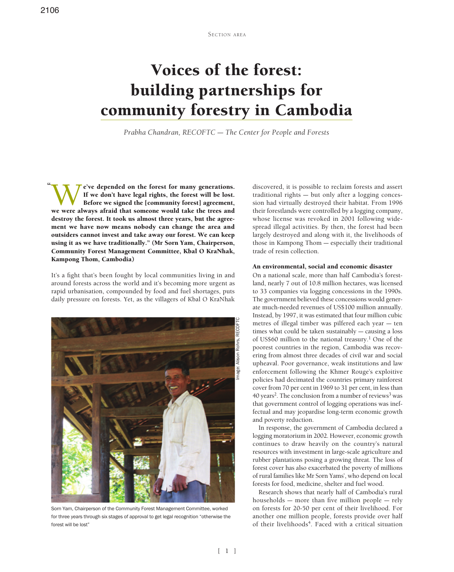# Voices of the forest: building partnerships for community forestry in Cambodia

*Prabha Chandran, RECOFTC – The Center for People and Forests*

We've depended on the forest for many generations.<br>If we don't have legal rights, the forest will be lost.<br>Before we signed the [community forest] agreement,<br>we were always afraid that someone would take the trees and If we don't have legal rights, the forest will be lost. Before we signed the [community forest] agreement, we were always afraid that someone would take the trees and destroy the forest. It took us almost three years, but the agreement we have now means nobody can change the area and outsiders cannot invest and take away our forest. We can keep using it as we have traditionally." (Mr Sorn Yam, Chairperson, Community Forest Management Committee, Kbal O KraNhak, Kampong Thom, Cambodia) "

It's a fight that's been fought by local communities living in and around forests across the world and it's becoming more urgent as rapid urbanisation, compounded by food and fuel shortages, puts daily pressure on forests. Yet, as the villagers of Kbal O KraNhak



Sorn Yam, Chairperson of the Community Forest Management Committee, worked for three years through six stages of approval to get legal recognition "otherwise the forest will be lost"

discovered, it is possible to reclaim forests and assert traditional rights – but only after a logging concession had virtually destroyed their habitat. From 1996 their forestlands were controlled by a logging company, whose license was revoked in 2001 following widespread illegal activities. By then, the forest had been largely destroyed and along with it, the livelihoods of those in Kampong Thom – especially their traditional trade of resin collection.

### An environmental, social and economic disaster

On a national scale, more than half Cambodia's forestland, nearly 7 out of 10.8 million hectares, was licensed to 33 companies via logging concessions in the 1990s. The government believed these concessions would generate much-needed revenues of US\$100 million annually. Instead, by 1997, it was estimated that four million cubic metres of illegal timber was pilfered each year – ten times what could be taken sustainably – causing a loss of US\$60 million to the national treasury.<sup>1</sup> One of the poorest countries in the region, Cambodia was recovering from almost three decades of civil war and social upheaval. Poor governance, weak institutions and law enforcement following the Khmer Rouge's exploitive policies had decimated the countries primary rainforest cover from 70 per cent in 1969 to 31 per cent, in less than 40 years<sup>2</sup>. The conclusion from a number of reviews<sup>3</sup> was that government control of logging operations was ineffectual and may jeopardise long-term economic growth and poverty reduction.

In response, the government of Cambodia declared a logging moratorium in 2002. However, economic growth continues to draw heavily on the country's natural resources with investment in large-scale agriculture and rubber plantations posing a growing threat. The loss of forest cover has also exacerbated the poverty of millions of rural families like Mr Sorn Yams', who depend on local forests for food, medicine, shelter and fuel wood.

Research shows that nearly half of Cambodia's rural households – more than five million people – rely on forests for 20-50 per cent of their livelihood. For another one million people, forests provide over half of their livelihoods<sup>4</sup>. Faced with a critical situation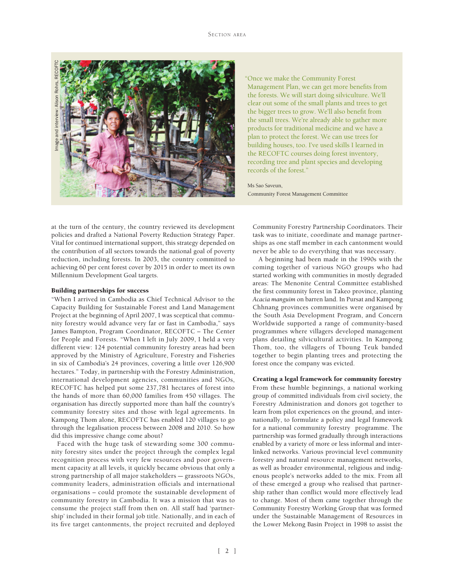

"Once we make the Community Forest Management Plan, we can get more benefits from the forests. We will start doing silviculture. We'll clear out some of the small plants and trees to get the bigger trees to grow. We'll also benefit from the small trees. We're already able to gather more products for traditional medicine and we have a plan to protect the forest. We can use trees for building houses, too. I've used skills I learned in the RECOFTC courses doing forest inventory, recording tree and plant species and developing records of the forest."

# Ms Sao Saveun,

Community Forest Management Committee

at the turn of the century, the country reviewed its development policies and drafted a National Poverty Reduction Strategy Paper. Vital for continued international support, this strategy depended on the contribution of all sectors towards the national goal of poverty reduction, including forests. In 2003, the country committed to achieving 60 per cent forest cover by 2015 in order to meet its own Millennium Development Goal targets.

# Building partnerships for success

"When I arrived in Cambodia as Chief Technical Advisor to the Capacity Building for Sustainable Forest and Land Management Project at the beginning of April 2007, I was sceptical that community forestry would advance very far or fast in Cambodia," says James Bampton, Program Coordinator, RECOFTC – The Center for People and Forests. "When I left in July 2009, I held a very different view: 124 potential community forestry areas had been approved by the Ministry of Agriculture, Forestry and Fisheries in six of Cambodia's 24 provinces, covering a little over 126,900 hectares." Today, in partnership with the Forestry Administration, international development agencies, communities and NGOs, RECOFTC has helped put some 237,781 hectares of forest into the hands of more than 60,000 families from 450 villages. The organisation has directly supported more than half the country's community forestry sites and those with legal agreements. In Kampong Thom alone, RECOFTC has enabled 120 villages to go through the legalisation process between 2008 and 2010. So how did this impressive change come about?

Faced with the huge task of stewarding some 300 community forestry sites under the project through the complex legal recognition process with very few resources and poor government capacity at all levels, it quickly became obvious that only a strong partnership of all major stakeholders – grassroots NGOs, community leaders, administration officials and international organisations – could promote the sustainable development of community forestry in Cambodia. It was a mission that was to consume the project staff from then on. All staff had 'partnership' included in their formal job title. Nationally, and in each of its five target cantonments, the project recruited and deployed

Community Forestry Partnership Coordinators. Their task was to initiate, coordinate and manage partnerships as one staff member in each cantonment would never be able to do everything that was necessary.

A beginning had been made in the 1990s with the coming together of various NGO groups who had started working with communities in mostly degraded areas: The Menonite Central Committee established the first community forest in Takeo province, planting *Acacia manguim* on barren land. In Pursat and Kampong Chhnang provinces communities were organised by the South Asia Development Program, and Concern Worldwide supported a range of community-based programmes where villagers developed management plans detailing silvicultural activities. In Kampong Thom, too, the villagers of Tboung Teuk banded together to begin planting trees and protecting the forest once the company was evicted.

# Creating a legal framework for community forestry

From these humble beginnings, a national working group of committed individuals from civil society, the Forestry Administration and donors got together to learn from pilot experiences on the ground, and internationally, to formulate a policy and legal framework for a national community forestry programme. The partnership was formed gradually through interactions enabled by a variety of more or less informal and interlinked networks. Various provincial level community forestry and natural resource management networks, as well as broader environmental, religious and indigenous people's networks added to the mix. From all of these emerged a group who realised that partnership rather than conflict would more effectively lead to change. Most of them came together through the Community Forestry Working Group that was formed under the Sustainable Management of Resources in the Lower Mekong Basin Project in 1998 to assist the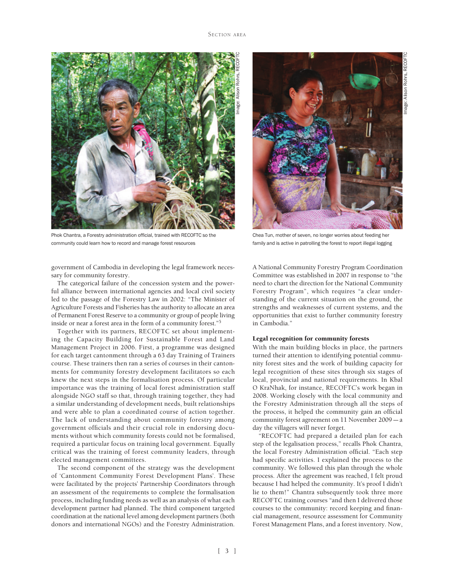

Phok Chantra, a Forestry administration official, trained with RECOFTC so the community could learn how to record and manage forest resources

government of Cambodia in developing the legal framework necessary for community forestry.

The categorical failure of the concession system and the powerful alliance between international agencies and local civil society led to the passage of the Forestry Law in 2002: "The Minister of Agriculture Forests and Fisheries has the authority to allocate an area of Permanent Forest Reserve to a community or group of people living inside or near a forest area in the form of a community forest."5

Together with its partners, RECOFTC set about implementing the Capacity Building for Sustainable Forest and Land Management Project in 2006. First, a programme was designed for each target cantonment through a 63 day Training of Trainers course. These trainers then ran a series of courses in their cantonments for community forestry development facilitators so each knew the next steps in the formalisation process. Of particular importance was the training of local forest administration staff alongside NGO staff so that, through training together, they had a similar understanding of development needs, built relationships and were able to plan a coordinated course of action together. The lack of understanding about community forestry among government officials and their crucial role in endorsing documents without which community forests could not be formalised, required a particular focus on training local government. Equally critical was the training of forest community leaders, through elected management committees.

The second component of the strategy was the development of 'Cantonment Community Forest Development Plans'. These were facilitated by the projects' Partnership Coordinators through an assessment of the requirements to complete the formalisation process, including funding needs as well as an analysis of what each development partner had planned. The third component targeted coordination at the national level among development partners (both donors and international NGOs) and the Forestry Administration.



Chea Tun, mother of seven, no longer worries about feeding her family and is active in patrolling the forest to report illegal logging

A National Community Forestry Program Coordination Committee was established in 2007 in response to "the need to chart the direction for the National Community Forestry Program", which requires "a clear understanding of the current situation on the ground, the strengths and weaknesses of current systems, and the opportunities that exist to further community forestry in Cambodia."

### Legal recognition for community forests

With the main building blocks in place, the partners turned their attention to identifying potential community forest sites and the work of building capacity for legal recognition of these sites through six stages of local, provincial and national requirements. In Kbal O KraNhak, for instance, RECOFTC's work began in 2008. Working closely with the local community and the Forestry Administration through all the steps of the process, it helped the community gain an official community forest agreement on 11 November 2009 – a day the villagers will never forget.

"RECOFTC had prepared a detailed plan for each step of the legalisation process," recalls Phok Chantra, the local Forestry Administration official. "Each step had specific activities. I explained the process to the community. We followed this plan through the whole process. After the agreement was reached, I felt proud because I had helped the community. It's proof I didn't lie to them!" Chantra subsequently took three more RECOFTC training courses "and then I delivered those courses to the community: record keeping and financial management, resource assessment for Community Forest Management Plans, and a forest inventory. Now,